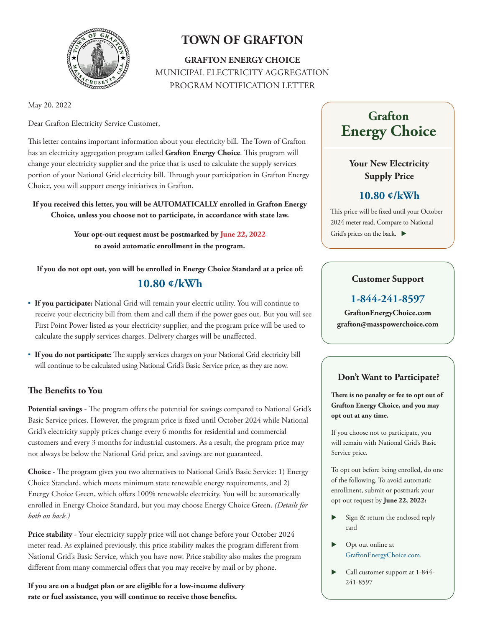

# **TOWN OF GRAFTON**

**GRAFTON ENERGY CHOICE** MUNICIPAL ELECTRICITY AGGREGATION PROGRAM NOTIFICATION LETTER

May 20, 2022

Dear Grafton Electricity Service Customer,

This letter contains important information about your electricity bill. The Town of Grafton has an electricity aggregation program called **Grafton Energy Choice**. This program will change your electricity supplier and the price that is used to calculate the supply services portion of your National Grid electricity bill. Through your participation in Grafton Energy Choice, you will support energy initiatives in Grafton.

**If you received this letter, you will be AUTOMATICALLY enrolled in Grafton Energy Choice, unless you choose not to participate, in accordance with state law.**

> **Your opt-out request must be postmarked by June 22, 2022 to avoid automatic enrollment in the program.**

**If you do not opt out, you will be enrolled in Energy Choice Standard at a price of: 10.80 ¢/kWh**

- **If you participate:** National Grid will remain your electric utility. You will continue to receive your electricity bill from them and call them if the power goes out. But you will see First Point Power listed as your electricity supplier, and the program price will be used to calculate the supply services charges. Delivery charges will be unaffected.
- **If you do not participate:** The supply services charges on your National Grid electricity bill will continue to be calculated using National Grid's Basic Service price, as they are now.

#### **The Benefits to You**

**Potential savings** - The program offers the potential for savings compared to National Grid's Basic Service prices. However, the program price is fixed until October 2024 while National Grid's electricity supply prices change every 6 months for residential and commercial customers and every 3 months for industrial customers. As a result, the program price may not always be below the National Grid price, and savings are not guaranteed.

**Choice** - The program gives you two alternatives to National Grid's Basic Service: 1) Energy Choice Standard, which meets minimum state renewable energy requirements, and 2) Energy Choice Green, which offers 100% renewable electricity. You will be automatically enrolled in Energy Choice Standard, but you may choose Energy Choice Green. *(Details for both on back.)*

**Price stability** - Your electricity supply price will not change before your October 2024 meter read. As explained previously, this price stability makes the program different from National Grid's Basic Service, which you have now. Price stability also makes the program different from many commercial offers that you may receive by mail or by phone.

**If you are on a budget plan or are eligible for a low-income delivery rate or fuel assistance, you will continue to receive those benefits.** 

# **Grafton Energy Choice**

### **Your New Electricity Supply Price**

## **10.80 ¢/kWh**

This price will be fixed until your October 2024 meter read. Compare to National Grid's prices on the back.  $\blacktriangleright$ 

#### **Customer Support**

## **1-844-241-8597**

**GraftonEnergyChoice.com grafton@masspowerchoice.com** 

### **Don't Want to Participate?**

**There is no penalty or fee to opt out of Grafton Energy Choice, and you may opt out at any time.** 

If you choose not to participate, you will remain with National Grid's Basic Service price.

To opt out before being enrolled, do one of the following. To avoid automatic enrollment, submit or postmark your opt-out request by **June 22, 2022:**

- Sign & return the enclosed reply card
- ▶ Opt out online at GraftonEnergyChoice.com.
- Call customer support at 1-844-241-8597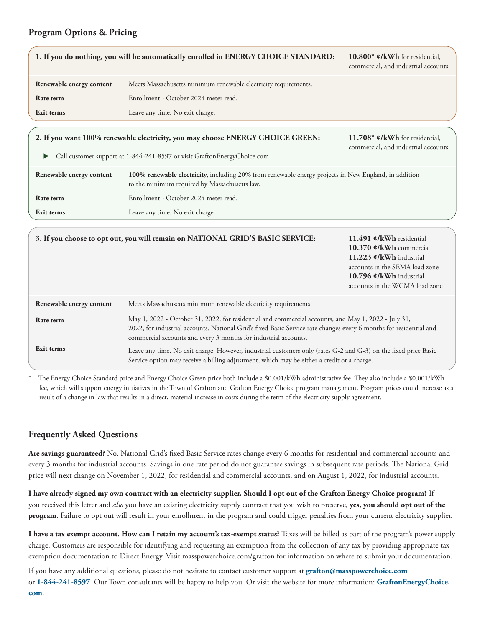#### **Program Options & Pricing**

|                          | 1. If you do nothing, you will be automatically enrolled in ENERGY CHOICE STANDARD:                                                                                                                                                                                                          | 10.800* $\mathfrak{e}/kWh$ for residential,<br>commercial, and industrial accounts                                                                                            |
|--------------------------|----------------------------------------------------------------------------------------------------------------------------------------------------------------------------------------------------------------------------------------------------------------------------------------------|-------------------------------------------------------------------------------------------------------------------------------------------------------------------------------|
| Renewable energy content | Meets Massachusetts minimum renewable electricity requirements.                                                                                                                                                                                                                              |                                                                                                                                                                               |
| Rate term                | Enrollment - October 2024 meter read.                                                                                                                                                                                                                                                        |                                                                                                                                                                               |
| Exit terms               | Leave any time. No exit charge.                                                                                                                                                                                                                                                              |                                                                                                                                                                               |
| $\blacktriangleright$    | 2. If you want 100% renewable electricity, you may choose ENERGY CHOICE GREEN:<br>Call customer support at 1-844-241-8597 or visit GraftonEnergyChoice.com                                                                                                                                   | 11.708* $\mathfrak{e}/kWh$ for residential,<br>commercial, and industrial accounts                                                                                            |
| Renewable energy content | 100% renewable electricity, including 20% from renewable energy projects in New England, in addition<br>to the minimum required by Massachusetts law.                                                                                                                                        |                                                                                                                                                                               |
| Rate term                | Enrollment - October 2024 meter read.                                                                                                                                                                                                                                                        |                                                                                                                                                                               |
| Exit terms               | Leave any time. No exit charge.                                                                                                                                                                                                                                                              |                                                                                                                                                                               |
|                          | 3. If you choose to opt out, you will remain on NATIONAL GRID'S BASIC SERVICE:                                                                                                                                                                                                               | 11.491 ¢/kWh residential<br>10.370 ¢/kWh commercial<br>11.223 ¢/kWh industrial<br>accounts in the SEMA load zone<br>10.796 ¢/kWh industrial<br>accounts in the WCMA load zone |
| Renewable energy content | Meets Massachusetts minimum renewable electricity requirements.                                                                                                                                                                                                                              |                                                                                                                                                                               |
| Rate term                | May 1, 2022 - October 31, 2022, for residential and commercial accounts, and May 1, 2022 - July 31,<br>2022, for industrial accounts. National Grid's fixed Basic Service rate changes every 6 months for residential and<br>commercial accounts and every 3 months for industrial accounts. |                                                                                                                                                                               |

**Exit terms** Leave any time. No exit charge. However, industrial customers only (rates G-2 and G-3) on the fixed price Basic Service option may receive a billing adjustment, which may be either a credit or a charge.

The Energy Choice Standard price and Energy Choice Green price both include a \$0.001/kWh administrative fee. They also include a \$0.001/kWh fee, which will support energy initiatives in the Town of Grafton and Grafton Energy Choice program management. Program prices could increase as a result of a change in law that results in a direct, material increase in costs during the term of the electricity supply agreement.

#### **Frequently Asked Questions**

**Are savings guaranteed?** No. National Grid's fixed Basic Service rates change every 6 months for residential and commercial accounts and every 3 months for industrial accounts. Savings in one rate period do not guarantee savings in subsequent rate periods. The National Grid price will next change on November 1, 2022, for residential and commercial accounts, and on August 1, 2022, for industrial accounts.

**I have already signed my own contract with an electricity supplier. Should I opt out of the Grafton Energy Choice program?** If you received this letter and *also* you have an existing electricity supply contract that you wish to preserve, **yes, you should opt out of the program**. Failure to opt out will result in your enrollment in the program and could trigger penalties from your current electricity supplier.

**I have a tax exempt account. How can I retain my account's tax-exempt status?** Taxes will be billed as part of the program's power supply charge. Customers are responsible for identifying and requesting an exemption from the collection of any tax by providing appropriate tax exemption documentation to Direct Energy. Visit masspowerchoice.com/grafton for information on where to submit your documentation.

If you have any additional questions, please do not hesitate to contact customer support at **grafton@masspowerchoice.com** or **1-844-241-8597**. Our Town consultants will be happy to help you. Or visit the website for more information: **GraftonEnergyChoice. com**.